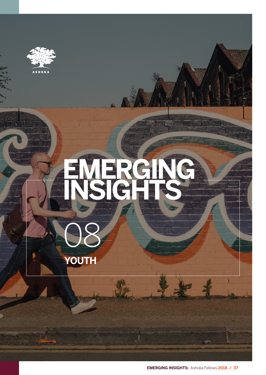

# **EMERGING INSIGHTS**



**EMERGING INSIGHTS:** Ashoka Fellows **2018 / 37**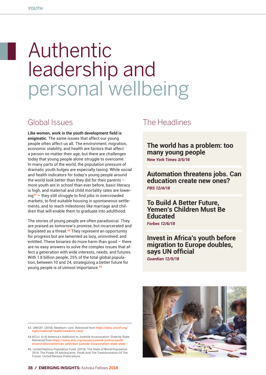# Authentic leadership and personal wellbeing

#### Global Issues

**Like women, work in the youth development field is enigmatic.** The same issues that affect our young people often affect us all. The environment, migration, economic stability, and health are factors that affect a person no matter their age, but there are challenges today that young people alone struggle to overcome. In many parts of the world, the population pressure of dramatic youth bulges are especially taxing. While social and health indicators for today's young people around the world look better than they did for their parents – more youth are in school than ever before, basic literacy is high, and maternal and child mortality rates are lowering**<sup>43</sup>** – they still struggle to find jobs in overcrowded markets, to find suitable housing in spontaneous settlements, and to reach milestones like marriage and children that will enable them to graduate into adulthood.

The stories of young people are often paradoxical. They are praised as tomorrow's promise, but incarcerated and legislated as a threat.**<sup>44</sup>** They represent an opportunity for progress but are lamented as lazy, uninvolved, and entitled. These binaries do more harm than good – there are no easy answers to solve the complex issues that affect a generation with wide interests, needs, and futures. With 1.8 billion people, 25% of the total global population, between 10 and 24, strategizing a better future for young people is of utmost importance.**<sup>45</sup>**

#### The Headlines

**The world has a problem: too many young people** *New York Times 3/5/16*

**Automation threatens jobs. Can education create new ones?** *PBS 12/4/18*

**To Build A Better Future, Yemen's Children Must Be Educated**

*Forbes 12/6/18*

**Invest in Africa's youth before migration to Europe doubles, says UN official**  *Guardian 12/5/18*

<sup>45.</sup> United Nations Population Fund. (2014). The State of World Population 2014: The Power Of Adolescents, Youth And The Transformation Of The Future. United Nations Publications.



<sup>43.</sup> UNICEF. (2018). Newborn-care. Retreived from https://data.unicef.org/ topic/maternal-health/newborn-care/

<sup>44.</sup>ACLU. (n.d) America's Addiction to Juvenile Incarceration: State by State. Retrieved from https://www.aclu.org/issues/juvenile-justice/youth-incarceration/americas-addiction-juvenile-incarceration-state-state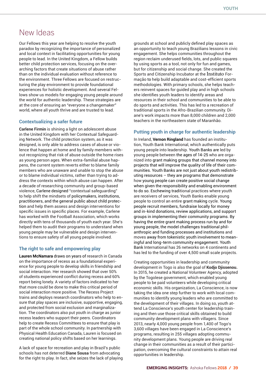### New Ideas

Our Fellows this year are helping to resolve the youth paradox by recognizing the importance of personalized and local context in facilitating opportunities for young people to lead. In the United Kingdom, a Fellow builds better child protection services, focusing on the overarching factors that create situations of abuse rather than on the individual evaluation without reference to the environment. Three Fellows are focused on restructuring the play environment to provide foundational experiences for holistic development. And several Fellows show us models for engaging young people around the world for authentic leadership. These strategies are at the core of ensuring an "everyone a changemaker" world, where all youth thrive and are trusted to lead.

#### **Contextualizing a safer future**

**Carlene Firmin** is shining a light on adolescent abuse in the United Kingdom with her Contextual Safeguarding Network. The child protection system, as it was designed, is only able to address cases of abuse or violence that happen at home and by family members without recognizing that risk of abuse outside the home rises as young person ages. When extra-familial abuse happens, the current system reverts either to blame family members who are unaware and unable to stop the abuse or to blame individual victims, rather than trying to address the contexts within which abuse can happen. After a decade of researching community and group-based violence, Carlene designed "contextual safeguarding" to help shift the mindsets of policymakers, institutions, practitioners, and the general public about child protection and help them assess and design interventions for specific issues in specific places. For example, Carlene has worked with the Football Association, which works directly with tens of thousands of youth each year. She's helped them to audit their programs to understand when young people may be vulnerable and design interventions to ensure safety of all young people involved.

#### **The right to safe and empowering play**

**Lauren McNamara** draws on years of research in Canada on the importance of recess as a foundational experience for young people to develop skills in friendship and social interaction. Her research showed that over 50% of students experienced conflict during recess and 60% report being lonely. A variety of factors indicated to her that more could be done to make this critical period of social interaction more positive. The Recess Project trains and deploys research coordinators who help to ensure that play spaces are inclusive, supportive, engaging, and protected from social exclusion and marginalization. The coordinators also put youth in charge as junior recess leaders who support their peers. Coordinators help to create Recess Committees to ensure that play is part of the whole school community. In partnership with Physical Health Education Canada, Lauren is focused on creating national policy shifts based on her learnings.

A lack of space for recreation and play in Brazil's public schools has not deterred **Diane Sousa** from advocating for the right to play. In fact, she seizes the lack of playing grounds at school and publicly defined play spaces as an opportunity to teach young Brazilians lessons in civic engagement. She helps communities throughout the region reclaim underused fields, lots, and public squares by using sports as a tool, not only for fun and games, but for citizenship and social change. She created the Sports and Citizenship Incubator at the Instituto Formação to help build adaptable and cost-efficient sports methodologies. With primary schools, she helps teachers reinvent spaces for guided play and in high schools she identifies youth leaders to identify areas and resources in their school and communities to be able to do sports and activities. This has led to a recreation of traditional sports in the Afro-Brazilian community. Diane's work impacts more than 8,000 children and 2,000 teachers in the northeastern state of Maranhão.

#### **Putting youth in charge for authentic leadership**

In Ireland, **Vernon Ringland** has founded an institution, Youth Bank International, which authentically puts young people into leadership. Youth Banks are led by young people between the ages of 14-25 who are organized into grant making groups that channel money into projects that will improve the quality of life of their communities. Youth Banks are not just about youth redistributing resources – they are programs that demonstrate how young people can create positive social change when given the responsibility and enabling environment to do so. Eschewing traditional practices where youth are receivers of services, Youth Banks enable young people to control an entire grant making cycle. Young people recruit members, fundraise locally for money and in-kind donations, review applications, and support groups in implementing their community programs. By having the entire grant making process run by and for young people, the model challenges traditional philanthropic and funding processes and institutions and moves away from tokenistic youth involvement to meaningful and long-term community engagement. Youth Bank International has 26 networks on 4 continents and has led to the funding of over 4,500 small scale projects.

Creating opportunities in leadership and community development in Togo is also the goal of **Kodjo Djissenou.**  In 2015, he created a National Volunteer Agency, adopted by the Togolese government, which enabled young people to be paid volunteers while developing critical economic skills. His organization, La Conscience, is now taking the idea one step further to work with local communities to identify young leaders who are committed to the development of their villages. In doing so, youth attend La Conscience's youth center for leadership training and then use those critical skills obtained to build community development plans with villagers. Since 2013, nearly 4,000 young people from 1,400 of Togo's 3,600 villages have been engaged in La Conscience's programs, resulting in 255 villages adopting community development plans. Young people are driving real change in their communities as a result of their participation, overcoming the cultural constraints to attain real opportunities in leadership.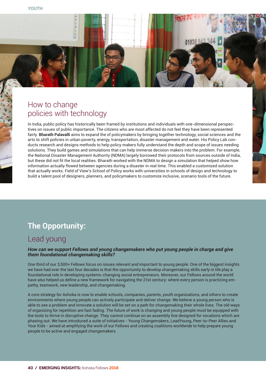### How to change policies with technology

**HOP** 

In India, public policy has historically been framed by institutions and individuals with one-dimensional perspectives on issues of public importance. The citizens who are most affected do not feel they have been represented fairly. **Bharath Palavalli** aims to expand the of policymakers by bringing together technology, social sciences and the arts to shift policies in urban poverty, energy, transportation, disaster management and water. His Policy Lab conducts research and designs methods to help policy makers fully understand the depth and scope of issues needing solutions. They build games and simulations that can help immerse decision makers into the problem. For example, the National Disaster Management Authority (NDMA) largely borrowed their protocols from sources outside of India, but these did not fit the local realities. Bharath worked with the NDMA to design a simulation that helped show how information actually flowed between agencies during a disaster in real time. This enabled a customized solution that actually works. Field of View's School of Policy works with universities in schools of design and technology to build a talent pool of designers, planners, and policymakers to customize inclusive, scenario tools of the future.

01938 943

### **The Opportunity:**

#### Lead young

#### *How can we support Fellows and young changemakers who put young people in charge and give them foundational changemaking skills?*

One third of our 3,500+ Fellows focus on issues relevant and important to young people. One of the biggest insights we have had over the last four decades is that the opportunity to develop changemaking skills early in life play a foundational role in developing systems-changing social entrepreneurs. Moreover, our Fellows around the world have also helped us define a new framework for navigating the 21st century: where every person is practicing empathy, teamwork, new leadership, and changemaking.

A core strategy for Ashoka is now to enable schools, companies, parents, youth organizations, and others to create environments where young people can actively participate and deliver change. We believe a young person who is able to see a problem and innovate a solution will be set on a path for changemaking their whole lives. The old ways of organizing for repetition are fast fading. The future of work is changing and young people must be equipped with the tools to thrive in disruptive change. They cannot continue on an assembly line designed for vocations which are phasing out. We have introduced a suite of initiatives - Young Changemakers, LeadYoung, Peer-to-Peer Allies and Your Kids - aimed at amplifying the work of our Fellows and creating coalitions worldwide to help prepare young people to be active and engaged changemakers.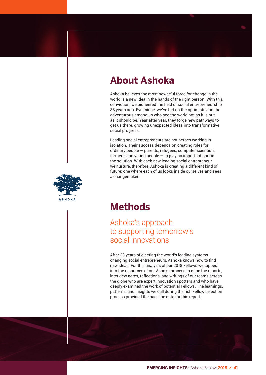# **About Ashoka**

Ashoka believes the most powerful force for change in the world is a new idea in the hands of the right person. With this conviction, we pioneered the field of social entrepreneurship 38 years ago. Ever since, we've bet on the optimists and the adventurous among us who see the world not as it is but as it should be. Year after year, they forge new pathways to get us there, growing unexpected ideas into transformative social progress.

Leading social entrepreneurs are not heroes working in isolation. Their success depends on creating roles for ordinary people — parents, refugees, computer scientists, farmers, and young people — to play an important part in the solution. With each new leading social entrepreneur we nurture, therefore, Ashoka is creating a different kind of future: one where each of us looks inside ourselves and sees a changemaker.



## **Methods**

#### Ashoka's approach to supporting tomorrow's social innovations

After 38 years of electing the world's leading systems changing social entrepreneurs, Ashoka knows how to find new ideas. For this analysis of our 2018 Fellows we tapped into the resources of our Ashoka process to mine the reports, interview notes, reflections, and writings of our teams across the globe who are expert innovation spotters and who have deeply examined the work of potential Fellows. The learnings, patterns, and insights we cull during the rich Fellow selection process provided the baseline data for this report.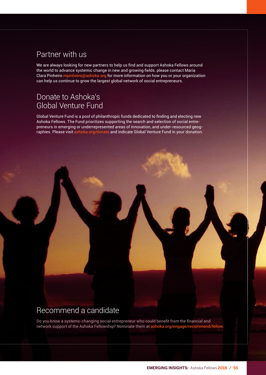#### Partner with us

We are always looking for new partners to help us find and support Ashoka Fellows around the world to advance systemic change in new and growing fields. please contact Maria Clara Pinheiro mpinheiro@ashoka.org for more information on how you or your organization can help us continue to grow the largest global network of social entrepreneurs.

#### Donate to Ashoka's Global Venture Fund

Global Venture Fund is a pool of philanthropic funds dedicated to finding and electing new Ashoka Fellows. The Fund prioritizes supporting the search and selection of social entrepreneurs in emerging or underrepresented areas of innovation, and under-resourced geographies. Please visit ashoka.org/donate and indicate Global Venture Fund in your donation.

#### Recommend a candidate

Do you know a systems-changing social entrepreneur who could benefit from the financial and network support of the Ashoka Fellowship? Nominate them at ashoka.org/engage/recommend/fellow.